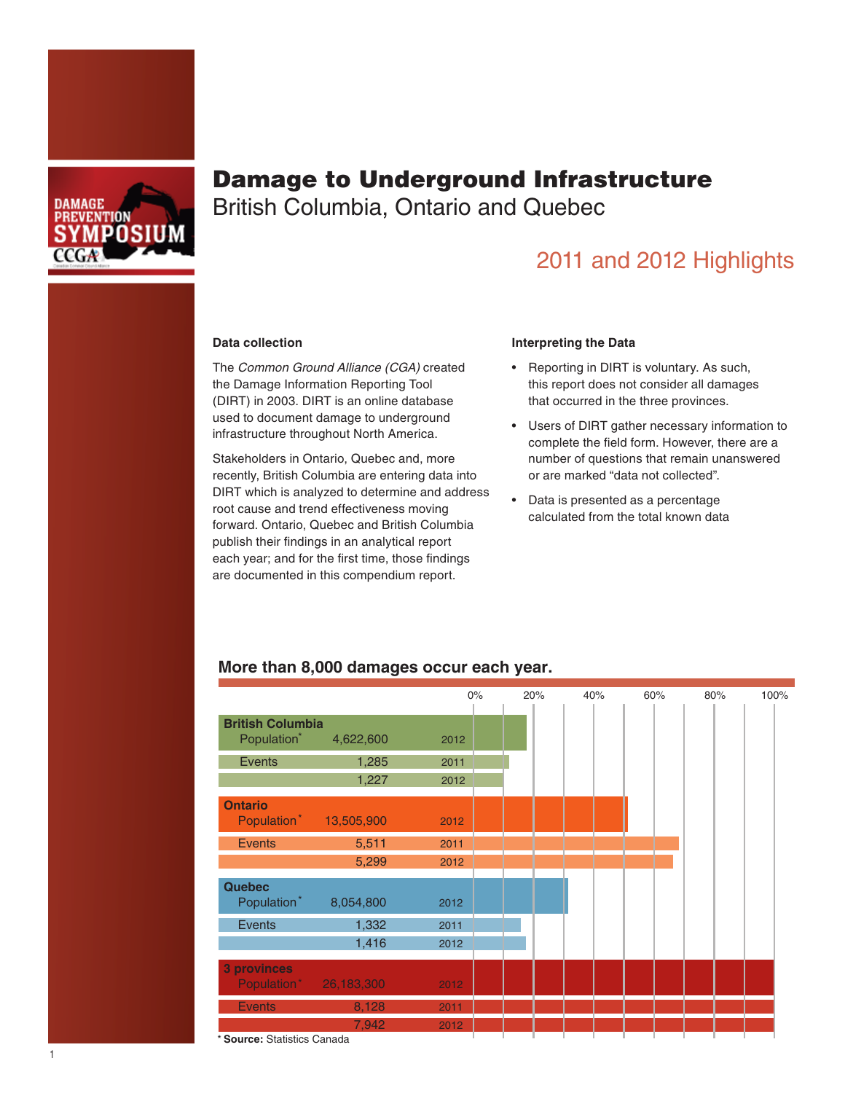

# Damage to Underground Infrastructure

British Columbia, Ontario and Quebec

## 2011 and 2012 Highlights

#### **Data collection**

The *Common Ground Alliance (CGA)* created the Damage Information Reporting Tool (DIRT) in 2003. DIRT is an online database used to document damage to underground infrastructure throughout North America.

Stakeholders in Ontario, Quebec and, more recently, British Columbia are entering data into DIRT which is analyzed to determine and address root cause and trend effectiveness moving forward. Ontario, Quebec and British Columbia publish their findings in an analytical report each year; and for the first time, those findings are documented in this compendium report.

#### **Interpreting the Data**

- • Reporting in DIRT is voluntary. As such, this report does not consider all damages that occurred in the three provinces.
- • Users of DIRT gather necessary information to complete the field form. However, there are a number of questions that remain unanswered or are marked "data not collected".
- • Data is presented as a percentage calculated from the total known data

|                                                                                                    |                                    | $0\%$ | 20% | 40% | 60% | 80% | 100% |
|----------------------------------------------------------------------------------------------------|------------------------------------|-------|-----|-----|-----|-----|------|
|                                                                                                    |                                    |       |     |     |     |     |      |
| <b>British Columbia</b>                                                                            |                                    |       |     |     |     |     |      |
| Population <sup>*</sup>                                                                            | 4,622,600                          | 2012  |     |     |     |     |      |
| Events                                                                                             | 1,285                              | 2011  |     |     |     |     |      |
|                                                                                                    | 1,227                              | 2012  |     |     |     |     |      |
| <b>Ontario</b>                                                                                     |                                    |       |     |     |     |     |      |
|                                                                                                    | Population <sup>*</sup> 13,505,900 | 2012  |     |     |     |     |      |
| <b>Events</b>                                                                                      | 5,511                              | 2011  |     |     |     |     |      |
|                                                                                                    | 5,299                              | 2012  |     |     |     |     |      |
|                                                                                                    |                                    |       |     |     |     |     |      |
| <b>Quebec</b>                                                                                      |                                    |       |     |     |     |     |      |
| Population*                                                                                        | 8,054,800                          | 2012  |     |     |     |     |      |
| <b>Events</b>                                                                                      | 1,332                              | 2011  |     |     |     |     |      |
|                                                                                                    | 1,416                              | 2012  |     |     |     |     |      |
|                                                                                                    |                                    |       |     |     |     |     |      |
| <b>3 provinces</b><br>Population* 26,183,300                                                       |                                    | 2012  |     |     |     |     |      |
|                                                                                                    |                                    |       |     |     |     |     |      |
| <b>Events</b>                                                                                      | 8,128                              | 2011  |     |     |     |     |      |
| $\sim$ 0.000 $\sim$ 0.000 $\sim$ 0.000 $\sim$<br>$\bullet$ $\bullet$ $\bullet$ $\bullet$ $\bullet$ | 7,942                              | 2012  |     |     |     |     |      |

#### **More than 8,000 damages occur each year.**

\* **Source:** Statistics Canada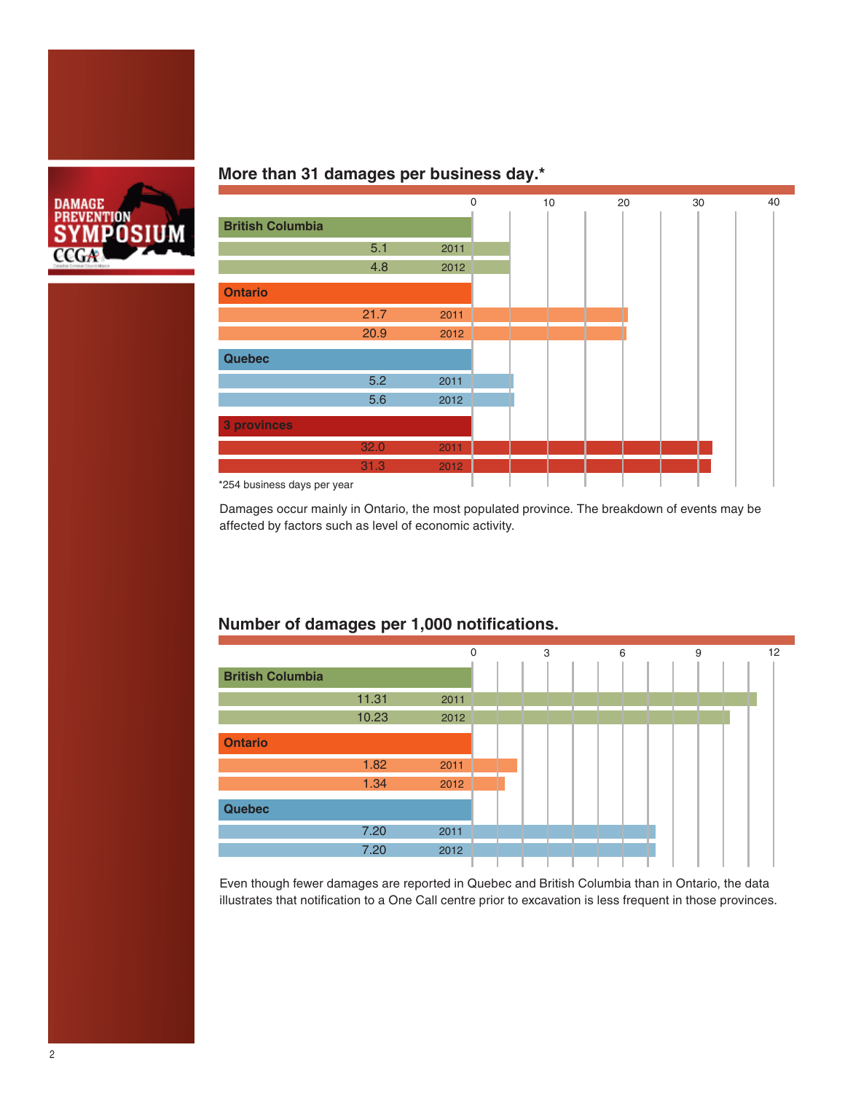

## **More than 31 damages per business day.\***



Damages occur mainly in Ontario, the most populated province. The breakdown of events may be affected by factors such as level of economic activity.

## **Number of damages per 1,000 notifications.**



Even though fewer damages are reported in Quebec and British Columbia than in Ontario, the data illustrates that notification to a One Call centre prior to excavation is less frequent in those provinces.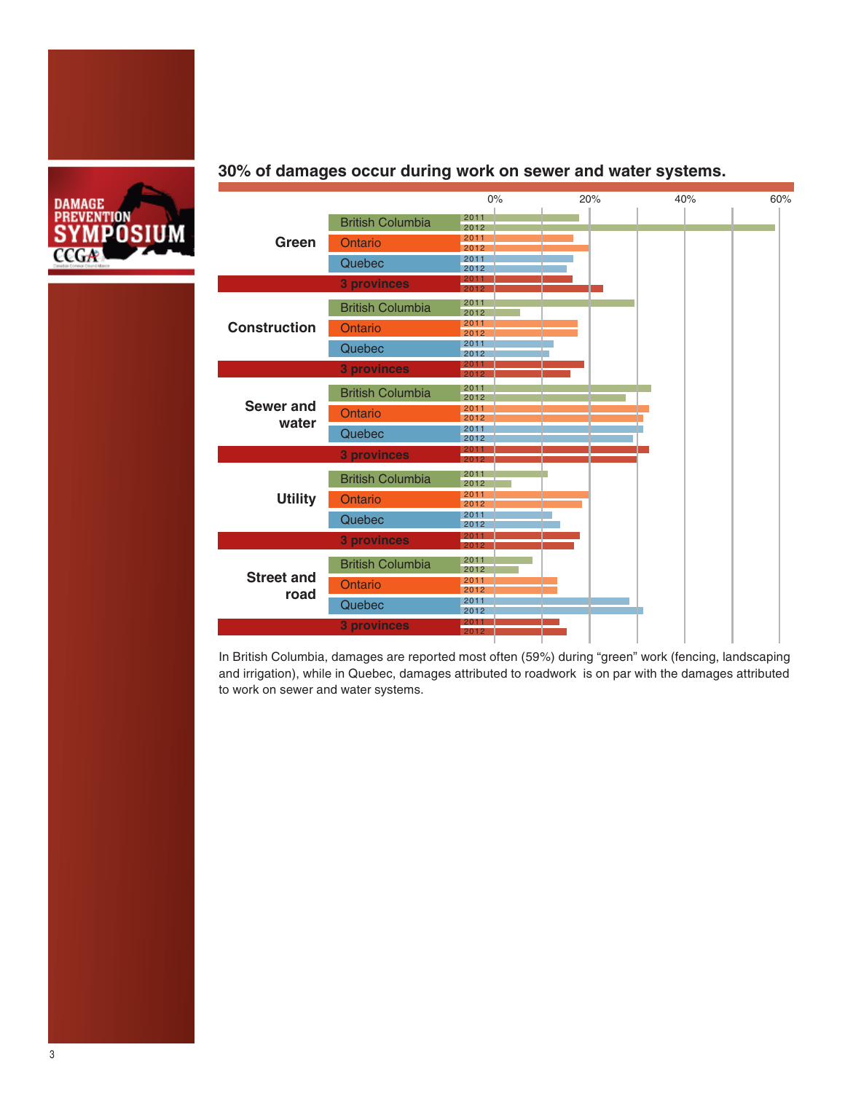



### **30% of damages occur during work on sewer and water systems.**

In British Columbia, damages are reported most often (59%) during "green" work (fencing, landscaping and irrigation), while in Quebec, damages attributed to roadwork is on par with the damages attributed to work on sewer and water systems.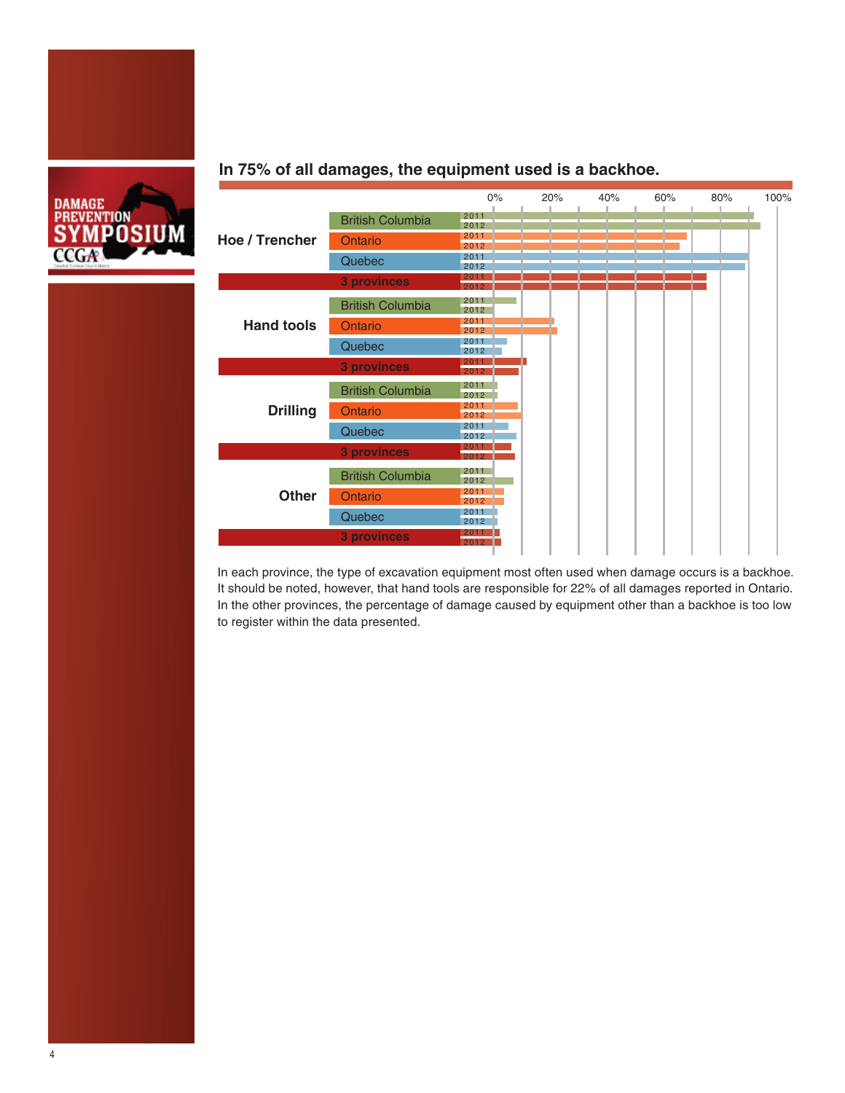

#### **In 75% of all damages, the equipment used is a backhoe.**



In each province, the type of excavation equipment most often used when damage occurs is a backhoe. It should be noted, however, that hand tools are responsible for 22% of all damages reported in Ontario. In the other provinces, the percentage of damage caused by equipment other than a backhoe is too low to register within the data presented.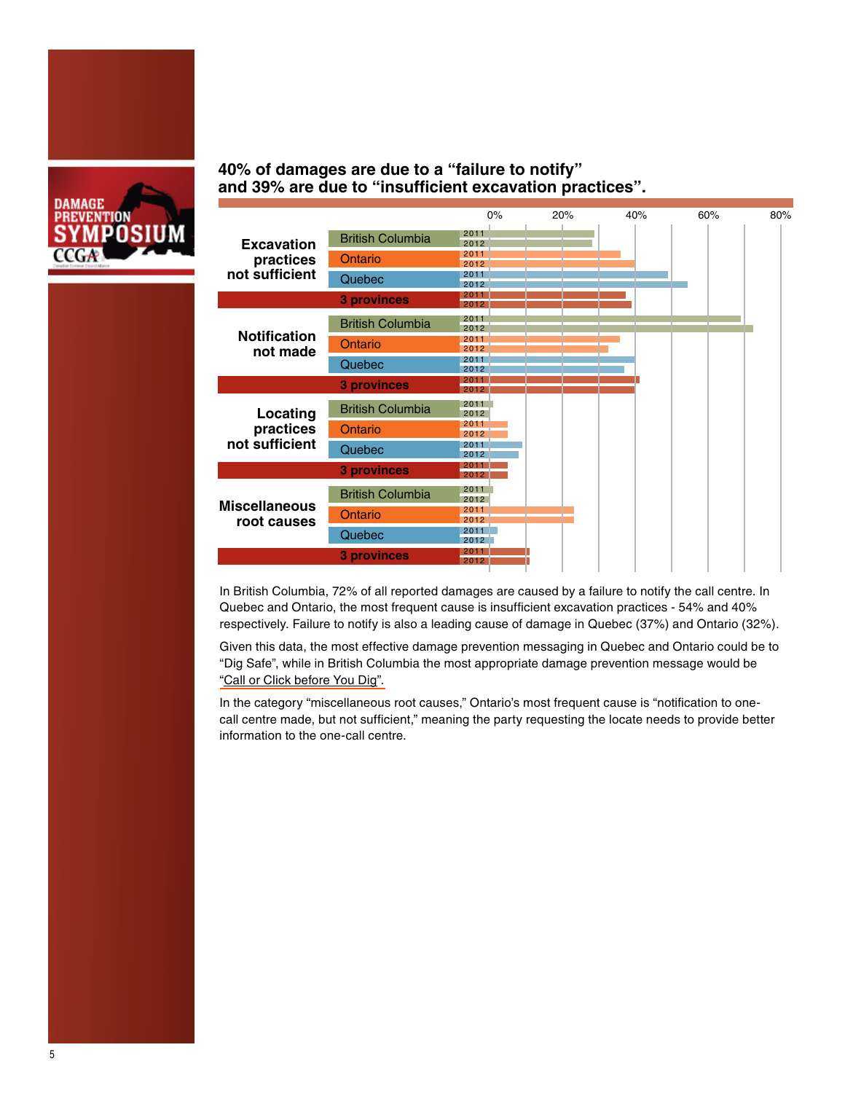

### **40% of damages are due to a "failure to notify" and 39% are due to "insufficient excavation practices".**



In British Columbia, 72% of all reported damages are caused by a failure to notify the call centre. In Quebec and Ontario, the most frequent cause is insufficient excavation practices - 54% and 40% respectively. Failure to notify is also a leading cause of damage in Quebec (37%) and Ontario (32%).

Given this data, the most effective damage prevention messaging in Quebec and Ontario could be to "Dig Safe", while in British Columbia the most appropriate damage prevention message would be ["Call or Click before You Dig".](http://www.clickbeforeyoudig.com/) 

In the category "miscellaneous root causes," Ontario's most frequent cause is "notification to onecall centre made, but not sufficient," meaning the party requesting the locate needs to provide better information to the one-call centre.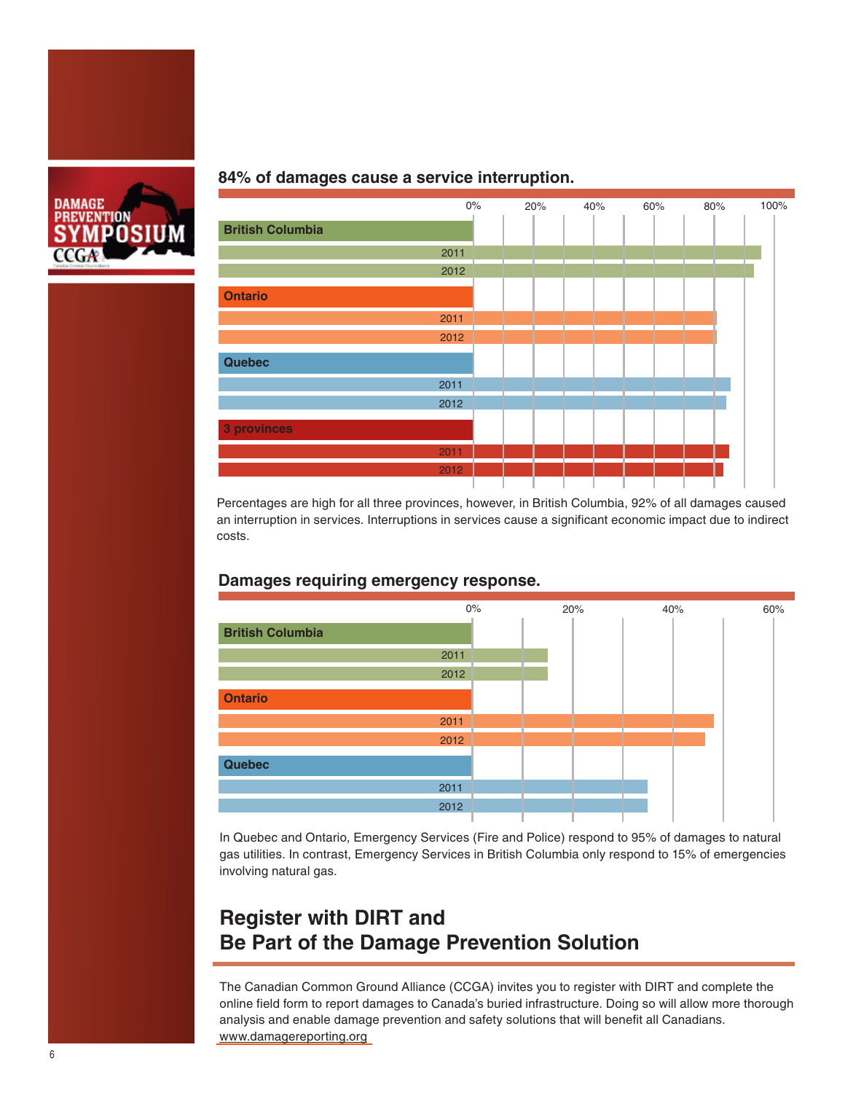

#### **84% of damages cause a service interruption.**



Percentages are high for all three provinces, however, in British Columbia, 92% of all damages caused an interruption in services. Interruptions in services cause a significant economic impact due to indirect costs.

### **Damages requiring emergency response.**



In Quebec and Ontario, Emergency Services (Fire and Police) respond to 95% of damages to natural gas utilities. In contrast, Emergency Services in British Columbia only respond to 15% of emergencies involving natural gas.

## **Register with DIRT and Be Part of the Damage Prevention Solution**

The Canadian Common Ground Alliance (CCGA) invites you to register with DIRT and complete the online field form to report damages to Canada's buried infrastructure. Doing so will allow more thorough analysis and enable damage prevention and safety solutions that will benefit all Canadians. <www.damagereporting.org>